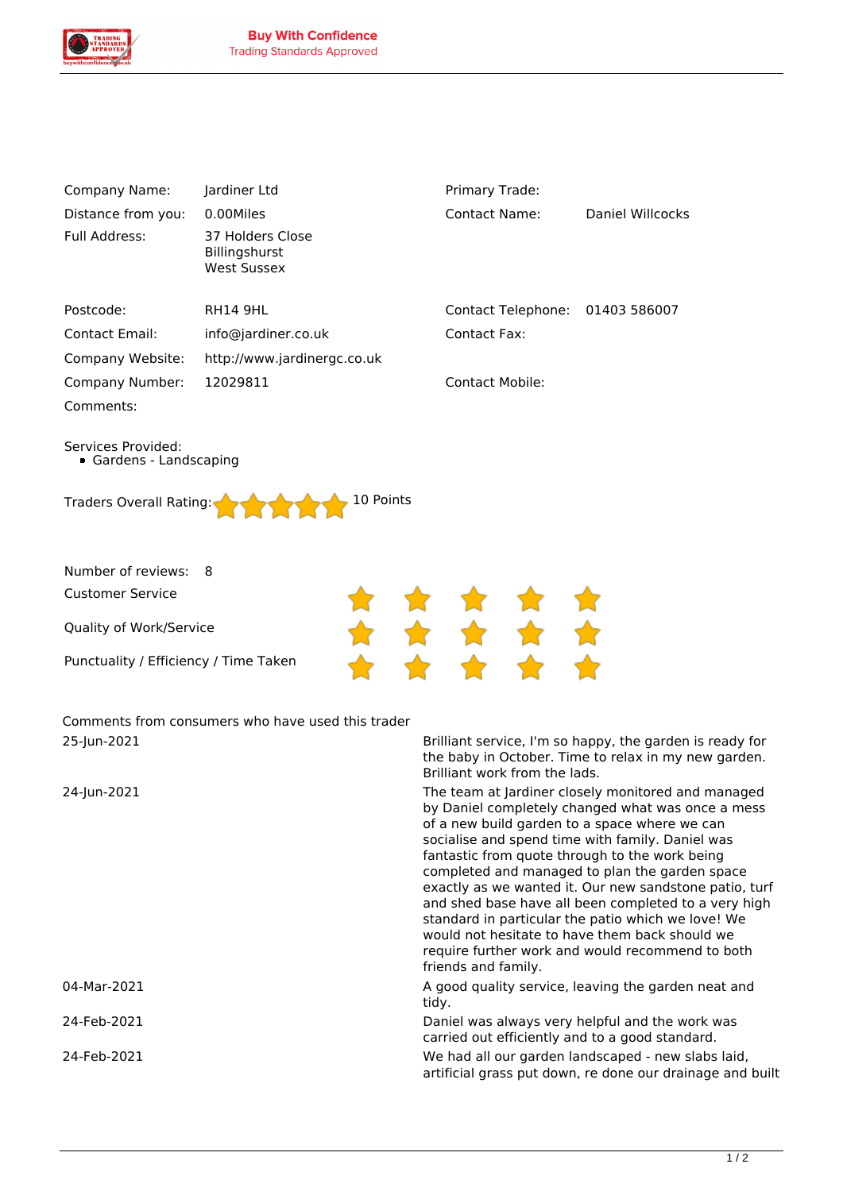

| Company Name:         | Jardiner Ltd                                            | Primary Trade:     |                  |
|-----------------------|---------------------------------------------------------|--------------------|------------------|
| Distance from you:    | 0.00Miles                                               | Contact Name:      | Daniel Willcocks |
| Full Address:         | 37 Holders Close<br><b>Billingshurst</b><br>West Sussex |                    |                  |
| Postcode:             | <b>RH14 9HL</b>                                         | Contact Telephone: | 01403 586007     |
| <b>Contact Email:</b> | info@jardiner.co.uk                                     | Contact Fax:       |                  |
| Company Website:      | http://www.jardinergc.co.uk                             |                    |                  |
| Company Number:       | 12029811                                                | Contact Mobile:    |                  |
| Comments:             |                                                         |                    |                  |

*Services Provided: Gardens - Landscaping*

| Traders Overall Rating: 10 Points |  |  |  |
|-----------------------------------|--|--|--|
|                                   |  |  |  |

*Number of reviews: 8*

*Customer Service*

*Quality of Work/Service*

*Punctuality / Efficiency / Time Taken*

*Comments from consumers who have used this trader 25-Jun-2021 Brilliant service, I'm so happy, the garden is ready for*

*the baby in October. Time to relax in my new garden. Brilliant work from the lads.*

*24-Jun-2021 The team at Jardiner closely monitored and managed by Daniel completely changed what was once a mess of a new build garden to a space where we can socialise and spend time with family. Daniel was fantastic from quote through to the work being completed and managed to plan the garden space exactly as we wanted it. Our new sandstone patio, turf and shed base have all been completed to a very high standard in particular the patio which we love! We would not hesitate to have them back should we require further work and would recommend to both friends and family.*

*04-Mar-2021 A good quality service, leaving the garden neat and tidy.*

*24-Feb-2021 Daniel was always very helpful and the work was carried out efficiently and to a good standard.*

*24-Feb-2021 We had all our garden landscaped - new slabs laid, artificial grass put down, re done our drainage and built*